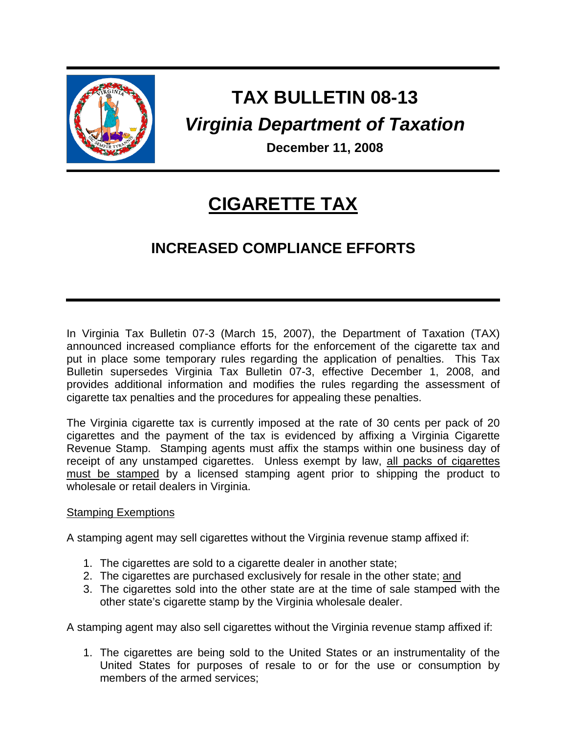

# **TAX BULLETIN 08-13**  *Virginia Department of Taxation*

 **December 11, 2008**

## **CIGARETTE TAX**

### **INCREASED COMPLIANCE EFFORTS**

In Virginia Tax Bulletin 07-3 (March 15, 2007), the Department of Taxation (TAX) announced increased compliance efforts for the enforcement of the cigarette tax and put in place some temporary rules regarding the application of penalties. This Tax Bulletin supersedes Virginia Tax Bulletin 07-3, effective December 1, 2008, and provides additional information and modifies the rules regarding the assessment of cigarette tax penalties and the procedures for appealing these penalties.

The Virginia cigarette tax is currently imposed at the rate of 30 cents per pack of 20 cigarettes and the payment of the tax is evidenced by affixing a Virginia Cigarette Revenue Stamp. Stamping agents must affix the stamps within one business day of receipt of any unstamped cigarettes. Unless exempt by law, all packs of cigarettes must be stamped by a licensed stamping agent prior to shipping the product to wholesale or retail dealers in Virginia.

#### Stamping Exemptions

A stamping agent may sell cigarettes without the Virginia revenue stamp affixed if:

- 1. The cigarettes are sold to a cigarette dealer in another state;
- 2. The cigarettes are purchased exclusively for resale in the other state; and
- 3. The cigarettes sold into the other state are at the time of sale stamped with the other state's cigarette stamp by the Virginia wholesale dealer.

A stamping agent may also sell cigarettes without the Virginia revenue stamp affixed if:

1. The cigarettes are being sold to the United States or an instrumentality of the United States for purposes of resale to or for the use or consumption by members of the armed services;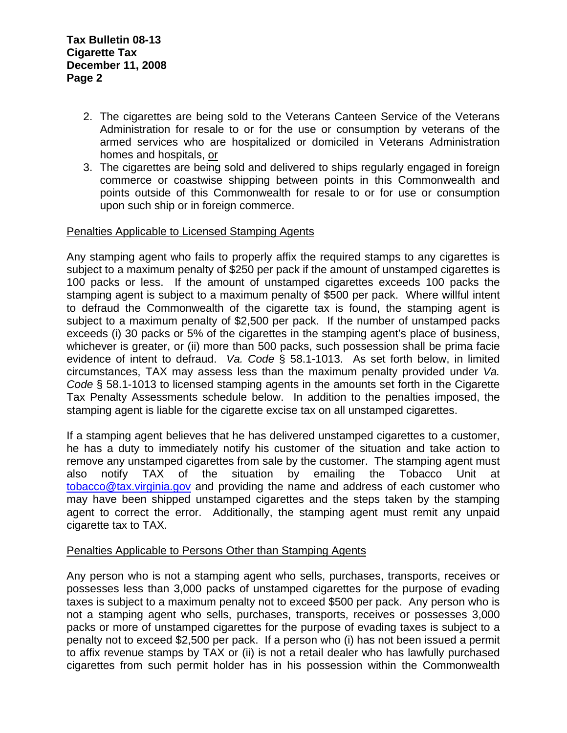- 2. The cigarettes are being sold to the Veterans Canteen Service of the Veterans Administration for resale to or for the use or consumption by veterans of the armed services who are hospitalized or domiciled in Veterans Administration homes and hospitals, or
- 3. The cigarettes are being sold and delivered to ships regularly engaged in foreign commerce or coastwise shipping between points in this Commonwealth and points outside of this Commonwealth for resale to or for use or consumption upon such ship or in foreign commerce.

#### Penalties Applicable to Licensed Stamping Agents

Any stamping agent who fails to properly affix the required stamps to any cigarettes is subject to a maximum penalty of \$250 per pack if the amount of unstamped cigarettes is 100 packs or less. If the amount of unstamped cigarettes exceeds 100 packs the stamping agent is subject to a maximum penalty of \$500 per pack. Where willful intent to defraud the Commonwealth of the cigarette tax is found, the stamping agent is subject to a maximum penalty of \$2,500 per pack. If the number of unstamped packs exceeds (i) 30 packs or 5% of the cigarettes in the stamping agent's place of business, whichever is greater, or (ii) more than 500 packs, such possession shall be prima facie evidence of intent to defraud. *Va. Code* § 58.1-1013. As set forth below, in limited circumstances, TAX may assess less than the maximum penalty provided under *Va. Code* § 58.1-1013 to licensed stamping agents in the amounts set forth in the Cigarette Tax Penalty Assessments schedule below. In addition to the penalties imposed, the stamping agent is liable for the cigarette excise tax on all unstamped cigarettes.

If a stamping agent believes that he has delivered unstamped cigarettes to a customer, he has a duty to immediately notify his customer of the situation and take action to remove any unstamped cigarettes from sale by the customer. The stamping agent must also notify TAX of the situation by emailing the Tobacco Unit at [tobacco@tax.virginia.gov](mailto:tobacco@tax.virginia.gov) and providing the name and address of each customer who may have been shipped unstamped cigarettes and the steps taken by the stamping agent to correct the error. Additionally, the stamping agent must remit any unpaid cigarette tax to TAX.

#### Penalties Applicable to Persons Other than Stamping Agents

Any person who is not a stamping agent who sells, purchases, transports, receives or possesses less than 3,000 packs of unstamped cigarettes for the purpose of evading taxes is subject to a maximum penalty not to exceed \$500 per pack. Any person who is not a stamping agent who sells, purchases, transports, receives or possesses 3,000 packs or more of unstamped cigarettes for the purpose of evading taxes is subject to a penalty not to exceed \$2,500 per pack. If a person who (i) has not been issued a permit to affix revenue stamps by TAX or (ii) is not a retail dealer who has lawfully purchased cigarettes from such permit holder has in his possession within the Commonwealth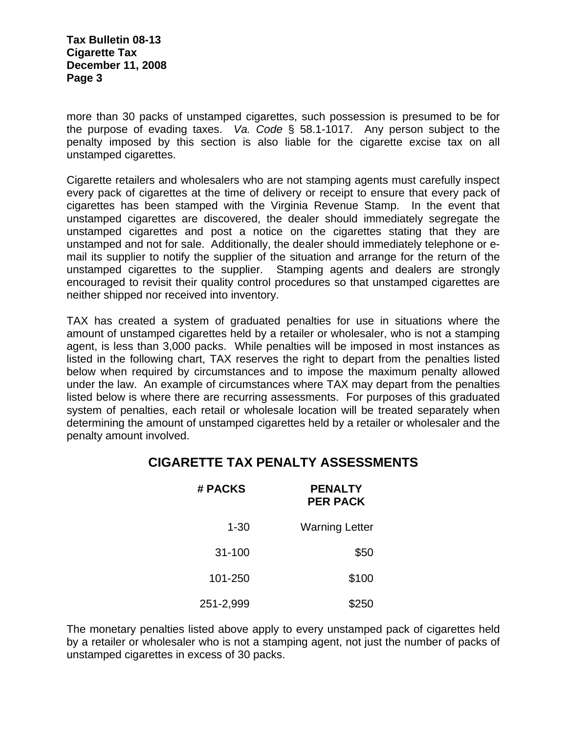**Tax Bulletin 08-13 Cigarette Tax December 11, 2008 Page 3** 

more than 30 packs of unstamped cigarettes, such possession is presumed to be for the purpose of evading taxes. *Va. Code* § 58.1-1017. Any person subject to the penalty imposed by this section is also liable for the cigarette excise tax on all unstamped cigarettes.

Cigarette retailers and wholesalers who are not stamping agents must carefully inspect every pack of cigarettes at the time of delivery or receipt to ensure that every pack of cigarettes has been stamped with the Virginia Revenue Stamp. In the event that unstamped cigarettes are discovered, the dealer should immediately segregate the unstamped cigarettes and post a notice on the cigarettes stating that they are unstamped and not for sale. Additionally, the dealer should immediately telephone or email its supplier to notify the supplier of the situation and arrange for the return of the unstamped cigarettes to the supplier. Stamping agents and dealers are strongly encouraged to revisit their quality control procedures so that unstamped cigarettes are neither shipped nor received into inventory.

TAX has created a system of graduated penalties for use in situations where the amount of unstamped cigarettes held by a retailer or wholesaler, who is not a stamping agent, is less than 3,000 packs. While penalties will be imposed in most instances as listed in the following chart, TAX reserves the right to depart from the penalties listed below when required by circumstances and to impose the maximum penalty allowed under the law. An example of circumstances where TAX may depart from the penalties listed below is where there are recurring assessments. For purposes of this graduated system of penalties, each retail or wholesale location will be treated separately when determining the amount of unstamped cigarettes held by a retailer or wholesaler and the penalty amount involved.

#### **CIGARETTE TAX PENALTY ASSESSMENTS**

| <b>PENALTY</b><br><b>PER PACK</b> | # PACKS    |
|-----------------------------------|------------|
| <b>Warning Letter</b>             | $1 - 30$   |
| \$50                              | $31 - 100$ |
| \$100                             | 101-250    |
| \$250                             | 251-2,999  |

The monetary penalties listed above apply to every unstamped pack of cigarettes held by a retailer or wholesaler who is not a stamping agent, not just the number of packs of unstamped cigarettes in excess of 30 packs.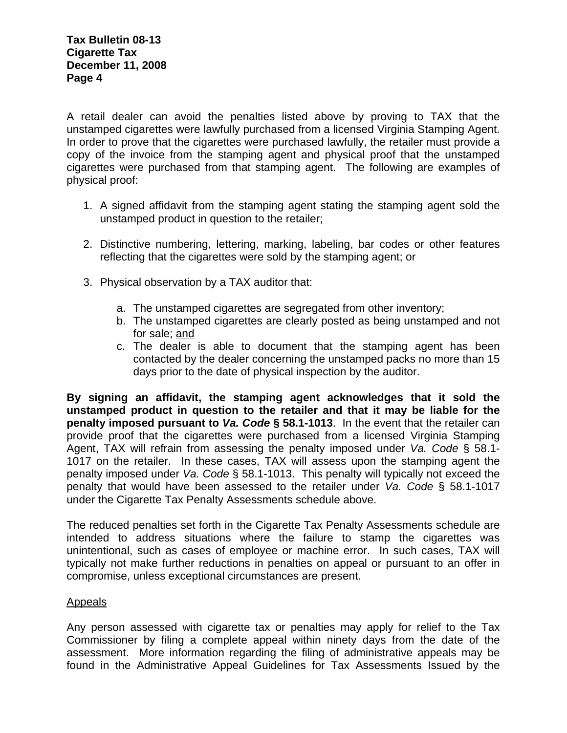A retail dealer can avoid the penalties listed above by proving to TAX that the unstamped cigarettes were lawfully purchased from a licensed Virginia Stamping Agent. In order to prove that the cigarettes were purchased lawfully, the retailer must provide a copy of the invoice from the stamping agent and physical proof that the unstamped cigarettes were purchased from that stamping agent. The following are examples of physical proof:

- 1. A signed affidavit from the stamping agent stating the stamping agent sold the unstamped product in question to the retailer;
- 2. Distinctive numbering, lettering, marking, labeling, bar codes or other features reflecting that the cigarettes were sold by the stamping agent; or
- 3. Physical observation by a TAX auditor that:
	- a. The unstamped cigarettes are segregated from other inventory;
	- b. The unstamped cigarettes are clearly posted as being unstamped and not for sale; and
	- c. The dealer is able to document that the stamping agent has been contacted by the dealer concerning the unstamped packs no more than 15 days prior to the date of physical inspection by the auditor.

**By signing an affidavit, the stamping agent acknowledges that it sold the unstamped product in question to the retailer and that it may be liable for the penalty imposed pursuant to** *Va. Code* **§ 58.1-1013**. In the event that the retailer can provide proof that the cigarettes were purchased from a licensed Virginia Stamping Agent, TAX will refrain from assessing the penalty imposed under *Va. Code* § 58.1- 1017 on the retailer. In these cases, TAX will assess upon the stamping agent the penalty imposed under *Va. Code* § 58.1-1013. This penalty will typically not exceed the penalty that would have been assessed to the retailer under *Va. Code* § 58.1-1017 under the Cigarette Tax Penalty Assessments schedule above.

The reduced penalties set forth in the Cigarette Tax Penalty Assessments schedule are intended to address situations where the failure to stamp the cigarettes was unintentional, such as cases of employee or machine error. In such cases, TAX will typically not make further reductions in penalties on appeal or pursuant to an offer in compromise, unless exceptional circumstances are present.

#### Appeals

Any person assessed with cigarette tax or penalties may apply for relief to the Tax Commissioner by filing a complete appeal within ninety days from the date of the assessment. More information regarding the filing of administrative appeals may be found in the Administrative Appeal Guidelines for Tax Assessments Issued by the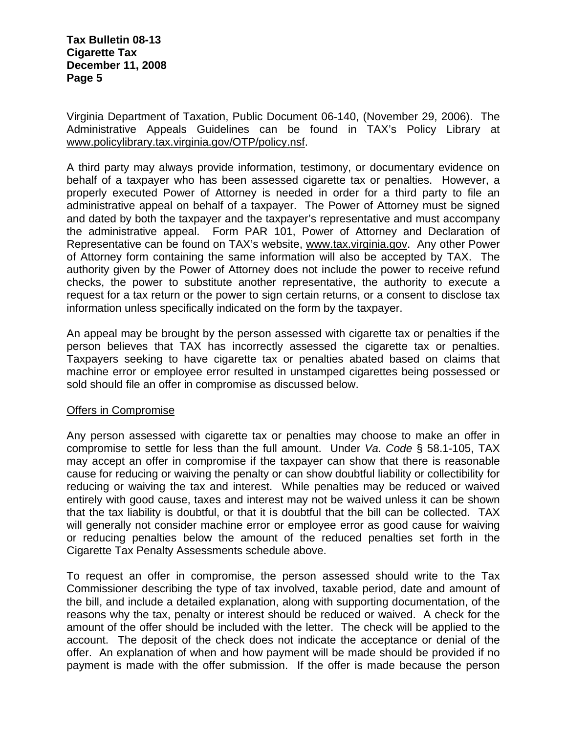#### **Tax Bulletin 08-13 Cigarette Tax December 11, 2008 Page 5**

Virginia Department of Taxation, Public Document 06-140, (November 29, 2006). The Administrative Appeals Guidelines can be found in TAX's Policy Library at www.policylibrary.tax.virginia.gov/OTP/policy.nsf.

A third party may always provide information, testimony, or documentary evidence on behalf of a taxpayer who has been assessed cigarette tax or penalties. However, a properly executed Power of Attorney is needed in order for a third party to file an administrative appeal on behalf of a taxpayer. The Power of Attorney must be signed and dated by both the taxpayer and the taxpayer's representative and must accompany the administrative appeal. Form PAR 101, Power of Attorney and Declaration of Representative can be found on TAX's website, www.tax.virginia.gov. Any other Power of Attorney form containing the same information will also be accepted by TAX. The authority given by the Power of Attorney does not include the power to receive refund checks, the power to substitute another representative, the authority to execute a request for a tax return or the power to sign certain returns, or a consent to disclose tax information unless specifically indicated on the form by the taxpayer.

An appeal may be brought by the person assessed with cigarette tax or penalties if the person believes that TAX has incorrectly assessed the cigarette tax or penalties. Taxpayers seeking to have cigarette tax or penalties abated based on claims that machine error or employee error resulted in unstamped cigarettes being possessed or sold should file an offer in compromise as discussed below.

#### Offers in Compromise

Any person assessed with cigarette tax or penalties may choose to make an offer in compromise to settle for less than the full amount. Under *Va. Code* § 58.1-105, TAX may accept an offer in compromise if the taxpayer can show that there is reasonable cause for reducing or waiving the penalty or can show doubtful liability or collectibility for reducing or waiving the tax and interest. While penalties may be reduced or waived entirely with good cause, taxes and interest may not be waived unless it can be shown that the tax liability is doubtful, or that it is doubtful that the bill can be collected. TAX will generally not consider machine error or employee error as good cause for waiving or reducing penalties below the amount of the reduced penalties set forth in the Cigarette Tax Penalty Assessments schedule above.

To request an offer in compromise, the person assessed should write to the Tax Commissioner describing the type of tax involved, taxable period, date and amount of the bill, and include a detailed explanation, along with supporting documentation, of the reasons why the tax, penalty or interest should be reduced or waived. A check for the amount of the offer should be included with the letter. The check will be applied to the account. The deposit of the check does not indicate the acceptance or denial of the offer. An explanation of when and how payment will be made should be provided if no payment is made with the offer submission. If the offer is made because the person